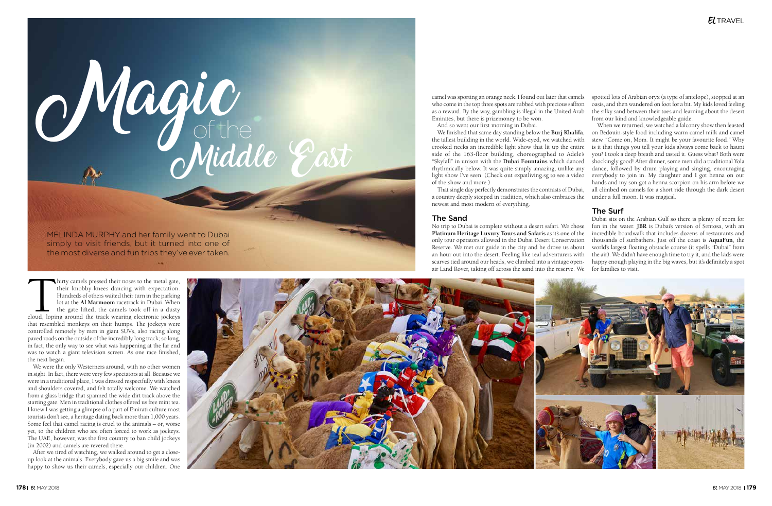of the



*Magu* 

hirty camels pressed their noses to the metal gate, their knobby-knees dancing with expectation. Hundreds of others waited their turn in the parking lot at the **Al Marmoom** racetrack in Dubai. When the gate lifted, the cam their knobby-knees dancing with expectation. Hundreds of others waited their turn in the parking lot at the **Al Marmoom** racetrack in Dubai. When the gate lifted, the camels took off in a dusty cloud, loping around the track wearing electronic jockeys that resembled monkeys on their humps. The jockeys were controlled remotely by men in giant SUVs, also racing along paved roads on the outside of the incredibly long track; so long, in fact, the only way to see what was happening at the far end was to watch a giant television screen. As one race finished, the next began.

We were the only Westerners around, with no other women in sight. In fact, there were very few spectators at all. Because we were in a traditional place, I was dressed respectfully with knees and shoulders covered, and felt totally welcome. We watched from a glass bridge that spanned the wide dirt track above the starting gate. Men in traditional clothes offered us free mint tea. I knew I was getting a glimpse of a part of Emirati culture most tourists don't see, a heritage dating back more than 1,000 years. Some feel that camel racing is cruel to the animals – or, worse yet, to the children who are often forced to work as jockeys. The UAE, however, was the first country to ban child jockeys (in 2002) and camels are revered there.

After we tired of watching, we walked around to get a closeup look at the animals. Everybody gave us a big smile and was happy to show us their camels, especially our children. One

And so went our first morning in Dubai.

the tallest building in the world. Wide-eyed, we watched with crooked necks an incredible light show that lit up the entire side of the 163-floor building, choreographed to Adele's "Skyfall" in unison with the **Dubai Fountains** which danced rhythmically below. It was quite simply amazing, unlike any light show I've seen. (Check out expatliving.sg to see a video of the show and more.) a country deeply steeped in tradition, which also embraces the under a full moon. It was magical. newest and most modern of everything.

camel was sporting an orange neck. I found out later that camels who come in the top three spots are rubbed with precious saffron as a reward. By the way, gambling is illegal in the United Arab Emirates, but there is prizemoney to be won. spotted lots of Arabian oryx (a type of antelope), stopped at an oasis, and then wandered on foot for a bit. My kids loved feeling the silky sand between their toes and learning about the desert from our kind and knowledgeable guide.

#### The Sand

We finished that same day standing below the **Burj Khalifa**, That single day perfectly demonstrates the contrasts of Dubai, When we returned, we watched a falconry show then feasted on Bedouin-style food including warm camel milk and camel stew. "Come on, Mom. It might be your favourite food." Why is it that things you tell your kids always come back to haunt you? I took a deep breath and tasted it. Guess what? Both were shockingly good! After dinner, some men did a traditional Yola dance, followed by drum playing and singing, encouraging everybody to join in. My daughter and I got henna on our hands and my son got a henna scorpion on his arm before we all climbed on camels for a short ride through the dark desert

No trip to Dubai is complete without a desert safari. We chose **Platinum Heritage Luxury Tours and Safaris** as it's one of the only tour operators allowed in the Dubai Desert Conservation Reserve. We met our guide in the city and he drove us about an hour out into the desert. Feeling like real adventurers with scarves tied around our heads, we climbed into a vintage openair Land Rover, taking off across the sand into the reserve. We Dubai sits on the Arabian Gulf so there is plenty of room for fun in the water. **JBR** is Dubai's version of Sentosa, with an incredible boardwalk that includes dozens of restaurants and thousands of sunbathers. Just off the coast is **AquaFun**, the world's largest floating obstacle course (it spells "Dubai" from the air). We didn't have enough time to try it, and the kids were happy enough playing in the big waves, but it's definitely a spot for families to visit.



#### The Surf

Middle East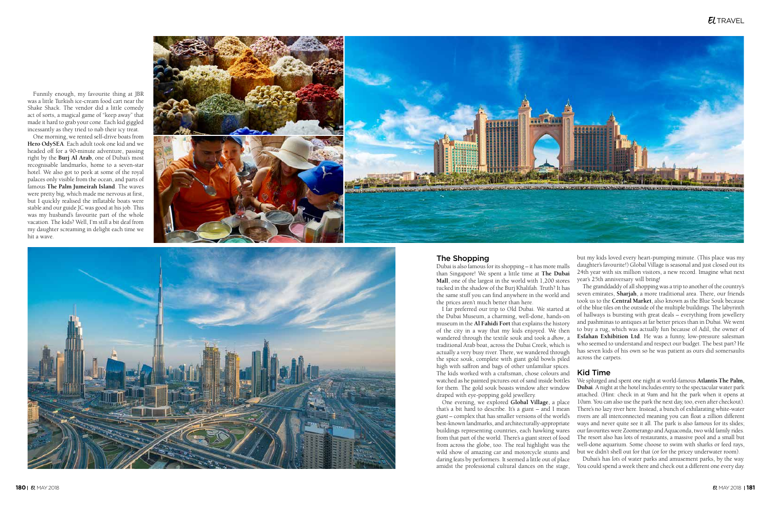Funnily enough, my favourite thing at JBR was a little Turkish ice-cream food cart near the Shake Shack. The vendor did a little comedy act of sorts, a magical game of "keep away" that made it hard to grab your cone. Each kid giggled incessantly as they tried to nab their icy treat.

One morning, we rented self-drive boats from **Hero OdySEA**. Each adult took one kid and we headed off for a 90-minute adventure, passing right by the **Burj Al Arab**, one of Dubai's most recognisable landmarks, home to a seven-star hotel. We also got to peek at some of the royal palaces only visible from the ocean, and parts of famous **The Palm Jumeirah Island**. The waves were pretty big, which made me nervous at first, but I quickly realised the inflatable boats were stable and our guide JC was good at his job. This was my husband's favourite part of the whole vacation. The kids? Well, I'm still a bit deaf from my daughter screaming in delight each time we hit a wave.





#### The Shopping

Dubai is also famous for its shopping – it has more malls than Singapore! We spent a little time at **The Dubai Mall**, one of the largest in the world with 1,200 stores tucked in the shadow of the Burj Khalifah. Truth? It has the same stuff you can find anywhere in the world and the prices aren't much better than here.

I far preferred our trip to Old Dubai. We started at the Dubai Museum, a charming, well-done, hands-on museum in the **Al Fahidi Fort** that explains the history of the city in a way that my kids enjoyed. We then wandered through the textile souk and took a *dhow*, a traditional Arab boat, across the Dubai Creek, which is actually a very busy river. There, we wandered through the spice souk, complete with giant gold bowls piled high with saffron and bags of other unfamiliar spices. The kids worked with a craftsman, chose colours and watched as he painted pictures out of sand inside bottles for them. The gold souk boasts window after window draped with eye-popping gold jewellery.

One evening, we explored **Global Village**, a place that's a bit hard to describe. It's a giant – and I mean *giant* – complex that has smaller versions of the world's best-known landmarks, and architecturally-appropriate buildings representing countries, each hawking wares from that part of the world. There's a giant street of food from across the globe, too. The real highlight was the wild show of amazing car and motorcycle stunts and daring feats by performers. It seemed a little out of place amidst the professional cultural dances on the stage,

but my kids loved every heart-pumping minute. (This place was my daughter's favourite!) Global Village is seasonal and just closed out its 24th year with six million visitors, a new record. Imagine what next year's 25th anniversary will bring!

The granddaddy of all shopping was a trip to another of the country's seven emirates, **Sharjah**, a more traditional area. There, our friends took us to the **Central Market**, also known as the Blue Souk because of the blue tiles on the outside of the multiple buildings. The labyrinth of hallways is bursting with great deals – everything from jewellery and pashminas to antiques at far better prices than in Dubai. We went to buy a rug, which was actually fun because of Adil, the owner of **Esfahan Exhibition Ltd**. He was a funny, low-pressure salesman who seemed to understand and respect our budget. The best part? He has seven kids of his own so he was patient as ours did somersaults across the carpets.

## Kid Time

We splurged and spent one night at world-famous **Atlantis The Palm, Dubai**. A night at the hotel includes entry to the spectacular water park attached. (Hint: check in at 9am and hit the park when it opens at 10am. You can also use the park the next day, too, even after checkout). There's no lazy river here. Instead, a bunch of exhilarating white-water rivers are all interconnected meaning you can float a zillion different ways and never quite see it all. The park is also famous for its slides; our favourites were Zoomerango and Aquaconda, two wild family rides. The resort also has lots of restaurants, a massive pool and a small but well-done aquarium. Some choose to swim with sharks or feed rays, but we didn't shell out for that (or for the pricey underwater room).

Dubai's has *lots* of water parks and amusement parks, by the way. You could spend a week there and check out a different one every day.